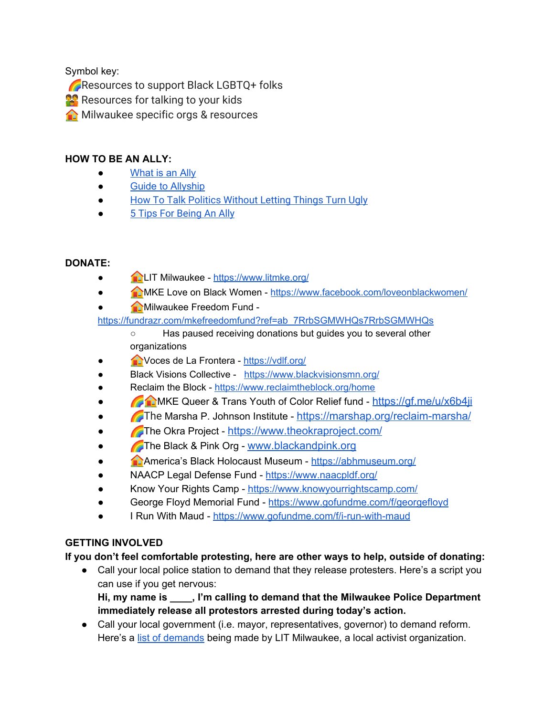Symbol key:

Resources to support Black LGBTQ+ folks

**Resources for talking to your kids** 

**A** Milwaukee specific orgs & resources

#### **HOW TO BE AN ALLY:**

- [What](https://www.themuse.com/advice/what-is-an-ally-7-examples) is an Ally
- Guide to [Allyship](https://guidetoallyship.com/)
- How To Talk Politics [Without](https://www.npr.org/2019/04/12/712277890/keeping-it-civil-how-to-talk-politics-without-letting-things-turn-ugly) Letting Things Turn Ugly
- 5 Tips For [Being](https://www.youtube.com/watch?v=_dg86g-QlM0) An Ally

## **DONATE:**

- LIT Milwaukee [-](https://www.litmke.org/) <https://www.litmke.org/>
- <br>● MKE Love on Black Women [-](https://www.litmke.org/) <https://www.facebook.com/loveonblackwomen/>
- **B** Milwaukee Freedom Fund [-](https://fundrazr.com/mkefreedomfund?ref=ab_7RrbSGMWHQs7RrbSGMWHQs)

[https://fundrazr.com/mkefreedomfund?ref=ab\\_7RrbSGMWHQs7RrbSGMWHQs](https://fundrazr.com/mkefreedomfund?ref=ab_7RrbSGMWHQs7RrbSGMWHQs)

- Has paused receiving donations but guides you to several other organizations
- Voces de La Frontera [-](https://vdlf.org/) <https://vdlf.org/>
- Black Visions Collective <https://www.blackvisionsmn.org/>
- Reclaim the Block <https://www.reclaimtheblock.org/home>
- **COME A Trans Youth of Color Relief fund <https://gf.me/u/x6b4ji>**
- The Marsha P. Johnson Institute [-](https://antiracismcenter.com/) https://marshap.org/reclaim-marshal
- The Okra Project <https://www.theokraproject.com/>
- The Black & Pink Org [w](https://abhmuseum.org/)ww.blackandpink.org
- America's Black Holocaust Museum [-](https://abhmuseum.org/) <https://abhmuseum.org/>
- NAACP Legal Defense Fund <https://www.naacpldf.org/>
- Know Your Rights Camp [-](https://www.knowyourrightscamp.com/) <https://www.knowyourrightscamp.com/>
- George Floyd Memorial Fund <https://www.gofundme.com/f/georgefloyd>
- I Run With Maud [-](https://www.gofundme.com/f/i-run-with-maud) <https://www.gofundme.com/f/i-run-with-maud>

## **GETTING INVOLVED**

**If you don't feel comfortable protesting, here are other ways to help, outside of donating:**

• Call your local police station to demand that they release protesters. Here's a script you can use if you get nervous:

**Hi, my name is \_\_\_\_, I'm calling to demand that the Milwaukee Police Department immediately release all protestors arrested during today's action.**

• Call your local government (i.e. mayor, representatives, governor) to demand reform. Here's a list of [demands](https://drive.google.com/file/d/1HHJ5jrocp0-d5Oo_qNOy8EXHl87Ucm6g/view) being made by LIT Milwaukee, a local activist organization.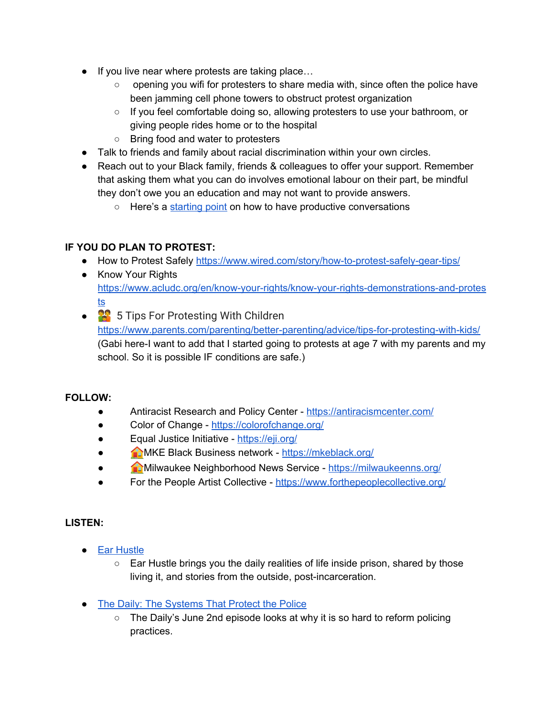- If you live near where protests are taking place...
	- $\circ$  opening you wifi for protesters to share media with, since often the police have been jamming cell phone towers to obstruct protest organization
	- If you feel comfortable doing so, allowing protesters to use your bathroom, or giving people rides home or to the hospital
	- Bring food and water to protesters
- Talk to friends and family about racial discrimination within your own circles.
- Reach out to your Black family, friends & colleagues to offer your support. Remember that asking them what you can do involves emotional labour on their part, be mindful they don't owe you an education and may not want to provide answers.
	- Here's a [starting](https://www.npr.org/2019/04/12/712277890/keeping-it-civil-how-to-talk-politics-without-letting-things-turn-ugly) point on how to have productive conversations

## **IF YOU DO PLAN TO PROTEST:**

- How to Protest Safely <https://www.wired.com/story/how-to-protest-safely-gear-tips/>
- Know Your Rights [https://www.acludc.org/en/know-your-rights/know-your-rights-demonstrations-and-protes](https://www.acludc.org/en/know-your-rights/know-your-rights-demonstrations-and-protests) [ts](https://www.acludc.org/en/know-your-rights/know-your-rights-demonstrations-and-protests)
- <sup>22</sup> 5 Tips For Protesting With Children <https://www.parents.com/parenting/better-parenting/advice/tips-for-protesting-with-kids/> (Gabi here-I want to add that I started going to protests at age 7 with my parents and my school. So it is possible IF conditions are safe.)

#### **FOLLOW:**

- Antiracist Research and Policy Center <https://antiracismcenter.com/>
- Color of Change <https://colorofchange.org/>
- Equal Justice Initiative <https://eji.org/>
- MKE Black Business network <https://mkeblack.org/>
- Milwaukee Neighborhood News Service <https://milwaukeenns.org/>
- For the People Artist Collective <https://www.forthepeoplecollective.org/>

#### **LISTEN:**

- Ear [Hustle](https://www.earhustlesq.com/)
	- $\circ$  Ear Hustle brings you the daily realities of life inside prison, shared by those living it, and stories from the outside, post-incarceration.
- The Daily: The [Systems](https://www.nytimes.com/2020/06/02/podcasts/the-daily/george-floyd-protests.html) That Protect the Police
	- The Daily's June 2nd episode looks at why it is so hard to reform policing practices.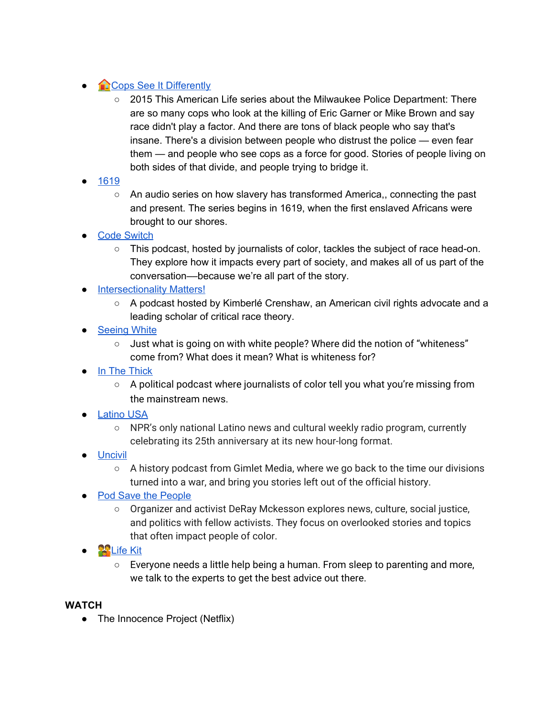# ● **Cops See It [Differently](https://www.thisamericanlife.org/547/cops-see-it-differently-part-one)**

- 2015 This American Life series about the Milwaukee Police Department: There are so many cops who look at the killing of Eric Garner or Mike Brown and say race didn't play a factor. And there are tons of black people who say that's insane. There's a division between people who distrust the police — even fear them — and people who see cops as a force for good. Stories of people living on both sides of that divide, and people trying to bridge it.
- [1619](https://www.nytimes.com/2020/01/23/podcasts/1619-podcast.html)
	- An audio series on how slavery has transformed America,, connecting the past and present. The series begins in 1619, when the first enslaved Africans were brought to our shores.
- **Code [Switch](https://www.npr.org/podcasts/510312/codeswitch)** 
	- This podcast, hosted by journalists of color, tackles the subject of race head-on. They explore how it impacts every part of society, and makes all of us part of the conversation––because we're all part of the story.
- [Intersectionality](https://aapf.org/podcast) Matters!
	- A podcast hosted by Kimberlé Crenshaw, an American civil rights advocate and a leading scholar of critical race theory.
- [Seeing](https://www.sceneonradio.org/seeing-white/) White
	- $\circ$  Just what is going on with white people? Where did the notion of "whiteness" come from? What does it mean? What is whiteness for?
- In The [Thick](https://www.inthethick.org/)
	- $\circ$  A political podcast where journalists of color tell you what you're missing from the mainstream news.
- [Latino](https://www.latinousa.org/) USA
	- NPR's only national Latino news and cultural weekly radio program, currently celebrating its 25th anniversary at its new hour-long format.
- [Uncivil](https://gimletmedia.com/shows/uncivil)
	- $\circ$  A history podcast from Gimlet Media, where we go back to the time our divisions turned into a war, and bring you stories left out of the official history.
- Pod Save the [People](https://crooked.com/podcast-series/pod-save-the-people/)
	- Organizer and activist DeRay Mckesson explores news, culture, social justice, and politics with fellow activists. They focus on overlooked stories and topics that often impact people of color.
- $\bullet$  **Po** [Life](https://www.npr.org/tags/797069332/life-kit-parenting) Kit
	- $\circ$  Everyone needs a little help being a human. From sleep to parenting and more, we talk to the experts to get the best advice out there.

#### **WATCH**

• The Innocence Project (Netflix)